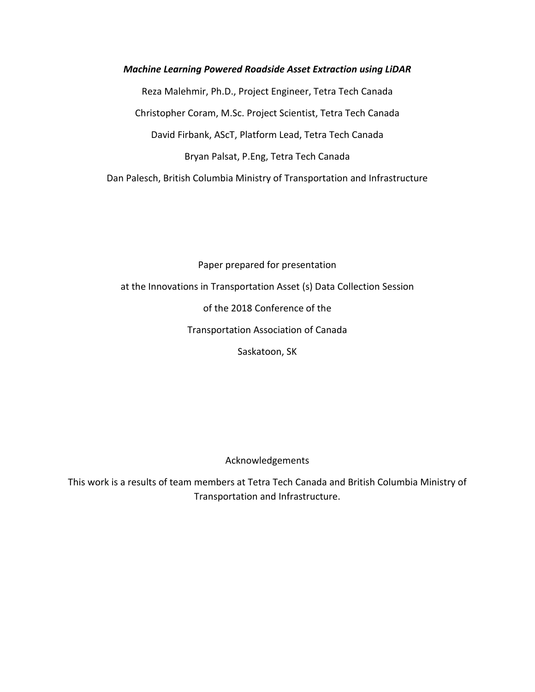*Machine Learning Powered Roadside Asset Extraction using LiDAR* Reza Malehmir, Ph.D., Project Engineer, Tetra Tech Canada Christopher Coram, M.Sc. Project Scientist, Tetra Tech Canada David Firbank, AScT, Platform Lead, Tetra Tech Canada Bryan Palsat, P.Eng, Tetra Tech Canada Dan Palesch, British Columbia Ministry of Transportation and Infrastructure

Paper prepared for presentation at the Innovations in Transportation Asset (s) Data Collection Session of the 2018 Conference of the Transportation Association of Canada Saskatoon, SK

Acknowledgements

This work is a results of team members at Tetra Tech Canada and British Columbia Ministry of Transportation and Infrastructure.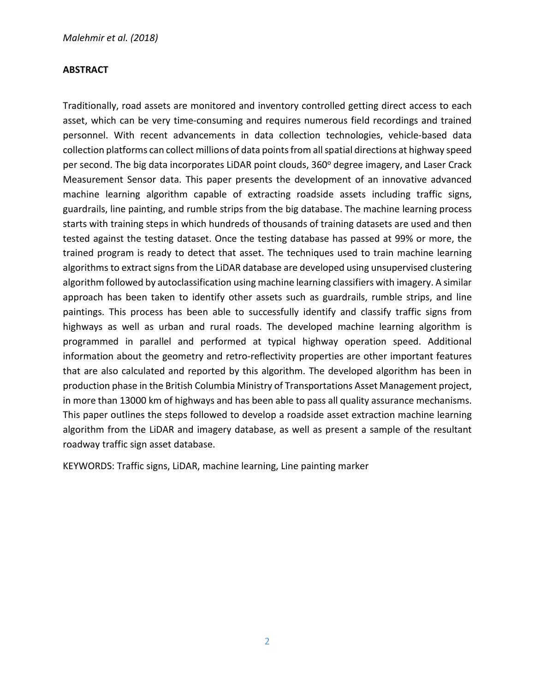#### **ABSTRACT**

Traditionally, road assets are monitored and inventory controlled getting direct access to each asset, which can be very time-consuming and requires numerous field recordings and trained personnel. With recent advancements in data collection technologies, vehicle-based data collection platforms can collect millions of data points from all spatial directions at highway speed per second. The big data incorporates LiDAR point clouds, 360° degree imagery, and Laser Crack Measurement Sensor data. This paper presents the development of an innovative advanced machine learning algorithm capable of extracting roadside assets including traffic signs, guardrails, line painting, and rumble strips from the big database. The machine learning process starts with training steps in which hundreds of thousands of training datasets are used and then tested against the testing dataset. Once the testing database has passed at 99% or more, the trained program is ready to detect that asset. The techniques used to train machine learning algorithms to extract signs from the LiDAR database are developed using unsupervised clustering algorithm followed by autoclassification using machine learning classifiers with imagery. A similar approach has been taken to identify other assets such as guardrails, rumble strips, and line paintings. This process has been able to successfully identify and classify traffic signs from highways as well as urban and rural roads. The developed machine learning algorithm is programmed in parallel and performed at typical highway operation speed. Additional information about the geometry and retro-reflectivity properties are other important features that are also calculated and reported by this algorithm. The developed algorithm has been in production phase in the British Columbia Ministry of Transportations Asset Management project, in more than 13000 km of highways and has been able to pass all quality assurance mechanisms. This paper outlines the steps followed to develop a roadside asset extraction machine learning algorithm from the LiDAR and imagery database, as well as present a sample of the resultant roadway traffic sign asset database.

KEYWORDS: Traffic signs, LiDAR, machine learning, Line painting marker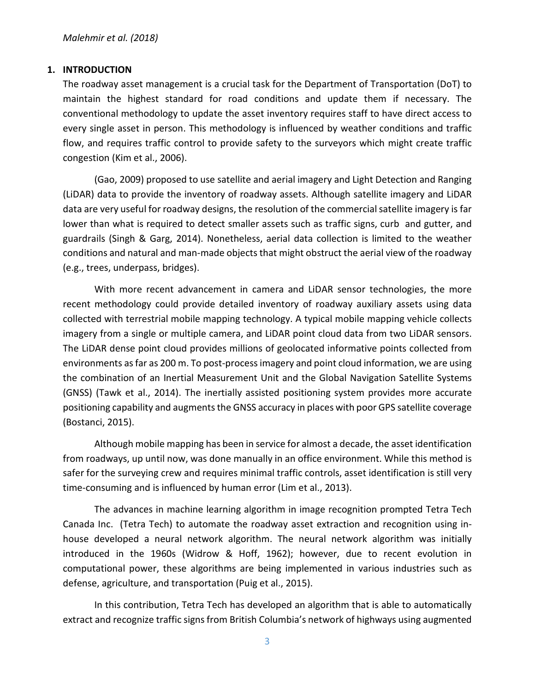#### **1. INTRODUCTION**

The roadway asset management is a crucial task for the Department of Transportation (DoT) to maintain the highest standard for road conditions and update them if necessary. The conventional methodology to update the asset inventory requires staff to have direct access to every single asset in person. This methodology is influenced by weather conditions and traffic flow, and requires traffic control to provide safety to the surveyors which might create traffic congestion (Kim et al., 2006).

(Gao, 2009) proposed to use satellite and aerial imagery and Light Detection and Ranging (LiDAR) data to provide the inventory of roadway assets. Although satellite imagery and LiDAR data are very useful for roadway designs, the resolution of the commercial satellite imagery is far lower than what is required to detect smaller assets such as traffic signs, curb and gutter, and guardrails (Singh & Garg, 2014). Nonetheless, aerial data collection is limited to the weather conditions and natural and man-made objects that might obstruct the aerial view of the roadway (e.g., trees, underpass, bridges).

With more recent advancement in camera and LiDAR sensor technologies, the more recent methodology could provide detailed inventory of roadway auxiliary assets using data collected with terrestrial mobile mapping technology. A typical mobile mapping vehicle collects imagery from a single or multiple camera, and LiDAR point cloud data from two LiDAR sensors. The LiDAR dense point cloud provides millions of geolocated informative points collected from environments as far as 200 m. To post-process imagery and point cloud information, we are using the combination of an Inertial Measurement Unit and the Global Navigation Satellite Systems (GNSS) (Tawk et al., 2014). The inertially assisted positioning system provides more accurate positioning capability and augments the GNSS accuracy in places with poor GPS satellite coverage (Bostanci, 2015).

Although mobile mapping has been in service for almost a decade, the asset identification from roadways, up until now, was done manually in an office environment. While this method is safer for the surveying crew and requires minimal traffic controls, asset identification is still very time-consuming and is influenced by human error (Lim et al., 2013).

The advances in machine learning algorithm in image recognition prompted Tetra Tech Canada Inc. (Tetra Tech) to automate the roadway asset extraction and recognition using inhouse developed a neural network algorithm. The neural network algorithm was initially introduced in the 1960s (Widrow & Hoff, 1962); however, due to recent evolution in computational power, these algorithms are being implemented in various industries such as defense, agriculture, and transportation (Puig et al., 2015).

In this contribution, Tetra Tech has developed an algorithm that is able to automatically extract and recognize traffic signs from British Columbia's network of highways using augmented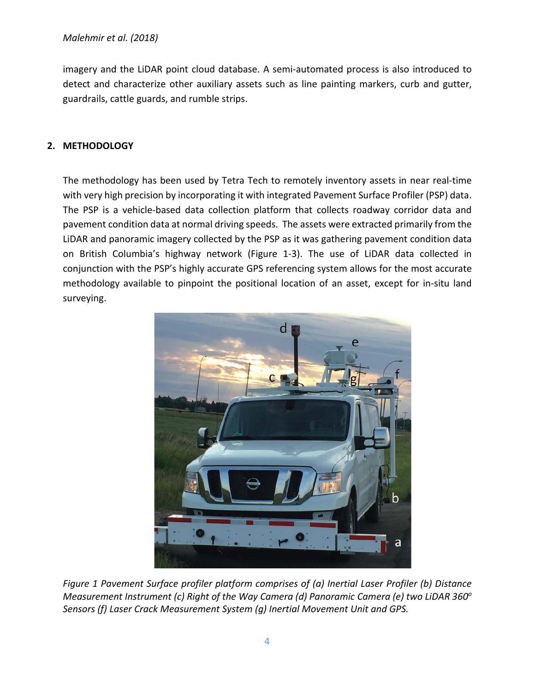imagery and the LiDAR point cloud database. A semi-automated process is also introduced to detect and characterize other auxiliary assets such as line painting markers, curb and gutter, guardrails, cattle guards, and rumble strips.

# **2. METHODOLOGY**

The methodology has been used by Tetra Tech to remotely inventory assets in near real-time with very high precision by incorporating it with integrated Pavement Surface Profiler (PSP) data. The PSP is a vehicle-based data collection platform that collects roadway corridor data and pavement condition data at normal driving speeds. The assets were extracted primarily from the LiDAR and panoramic imagery collected by the PSP as it was gathering pavement condition data on British Columbia's highway network (Figure 1-3). The use of LiDAR data collected in conjunction with the PSP's highly accurate GPS referencing system allows for the most accurate methodology available to pinpoint the positional location of an asset, except for in-situ land surveying.



*Figure 1 Pavement Surface profiler platform comprises of (a) Inertial Laser Profiler (b) Distance Measurement Instrument (c) Right of the Way Camera (d) Panoramic Camera (e) two LiDAR 360o Sensors (f) Laser Crack Measurement System (g) Inertial Movement Unit and GPS.*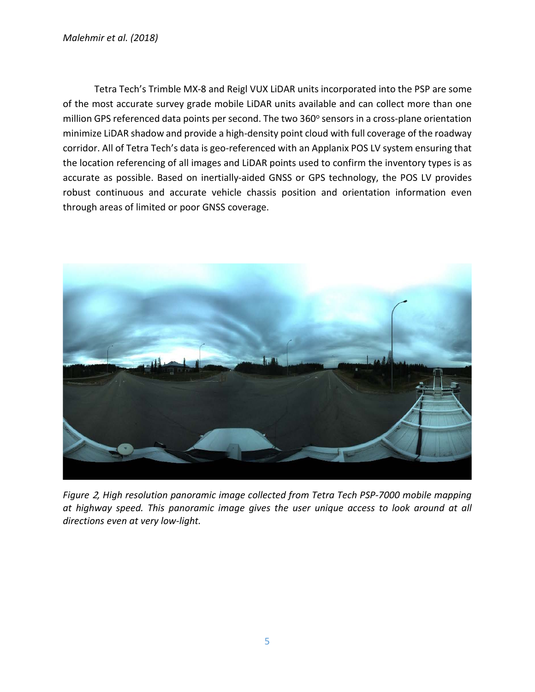Tetra Tech's Trimble MX-8 and Reigl VUX LiDAR units incorporated into the PSP are some of the most accurate survey grade mobile LiDAR units available and can collect more than one million GPS referenced data points per second. The two 360° sensors in a cross-plane orientation minimize LiDAR shadow and provide a high-density point cloud with full coverage of the roadway corridor. All of Tetra Tech's data is geo-referenced with an Applanix POS LV system ensuring that the location referencing of all images and LiDAR points used to confirm the inventory types is as accurate as possible. Based on inertially-aided GNSS or GPS technology, the POS LV provides robust continuous and accurate vehicle chassis position and orientation information even through areas of limited or poor GNSS coverage.



*Figure* 2*, High resolution panoramic image collected from Tetra Tech PSP-7000 mobile mapping at highway speed. This panoramic image gives the user unique access to look around at all directions even at very low-light.*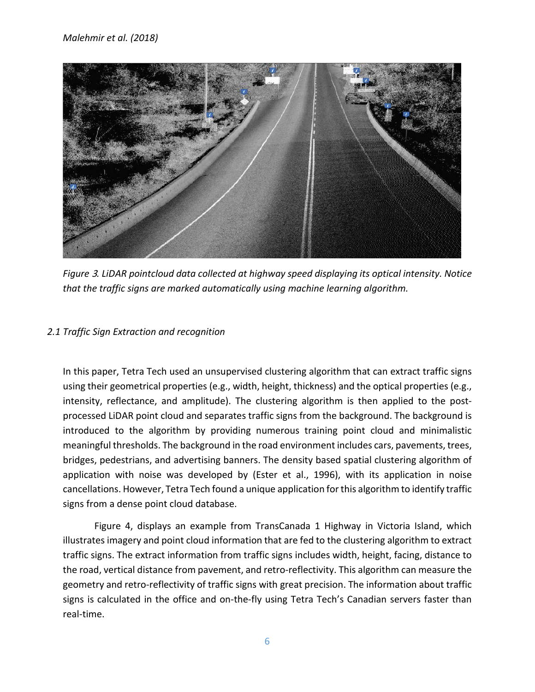

*Figure* 3*. LiDAR pointcloud data collected at highway speed displaying its optical intensity. Notice that the traffic signs are marked automatically using machine learning algorithm.*

# *2.1 Traffic Sign Extraction and recognition*

In this paper, Tetra Tech used an unsupervised clustering algorithm that can extract traffic signs using their geometrical properties (e.g., width, height, thickness) and the optical properties (e.g., intensity, reflectance, and amplitude). The clustering algorithm is then applied to the postprocessed LiDAR point cloud and separates traffic signs from the background. The background is introduced to the algorithm by providing numerous training point cloud and minimalistic meaningful thresholds. The background in the road environment includes cars, pavements, trees, bridges, pedestrians, and advertising banners. The density based spatial clustering algorithm of application with noise was developed by (Ester et al., 1996), with its application in noise cancellations. However, Tetra Tech found a unique application for this algorithm to identify traffic signs from a dense point cloud database.

Figure 4, displays an example from TransCanada 1 Highway in Victoria Island, which illustrates imagery and point cloud information that are fed to the clustering algorithm to extract traffic signs. The extract information from traffic signs includes width, height, facing, distance to the road, vertical distance from pavement, and retro-reflectivity. This algorithm can measure the geometry and retro-reflectivity of traffic signs with great precision. The information about traffic signs is calculated in the office and on-the-fly using Tetra Tech's Canadian servers faster than real-time.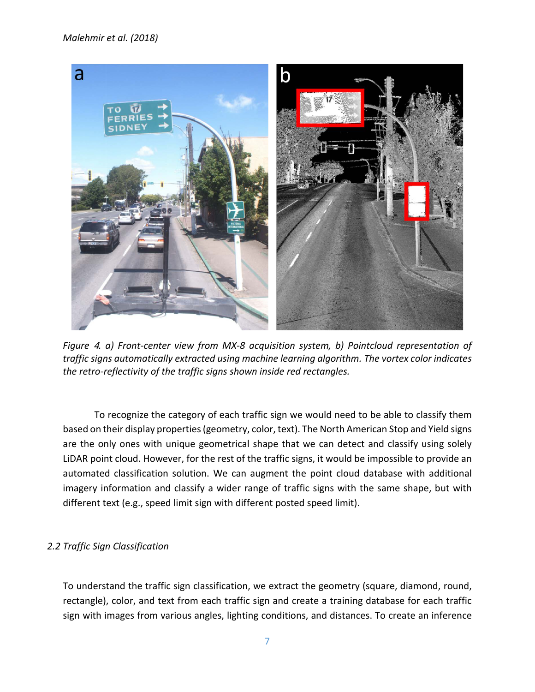#### *Malehmir et al. (2018)*



*Figure* 4*. a) Front-center view from MX-8 acquisition system, b) Pointcloud representation of traffic signs automatically extracted using machine learning algorithm. The vortex color indicates the retro-reflectivity of the traffic signs shown inside red rectangles.*

To recognize the category of each traffic sign we would need to be able to classify them based on their display properties (geometry, color, text). The North American Stop and Yield signs are the only ones with unique geometrical shape that we can detect and classify using solely LiDAR point cloud. However, for the rest of the traffic signs, it would be impossible to provide an automated classification solution. We can augment the point cloud database with additional imagery information and classify a wider range of traffic signs with the same shape, but with different text (e.g., speed limit sign with different posted speed limit).

# *2.2 Traffic Sign Classification*

To understand the traffic sign classification, we extract the geometry (square, diamond, round, rectangle), color, and text from each traffic sign and create a training database for each traffic sign with images from various angles, lighting conditions, and distances. To create an inference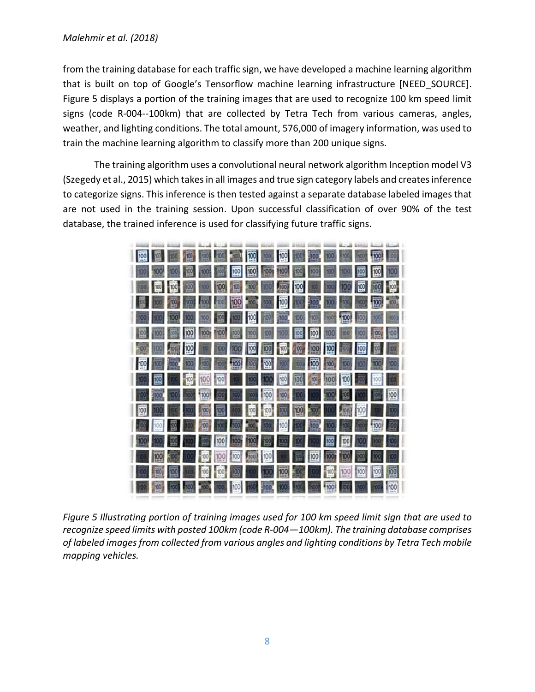#### *Malehmir et al. (2018)*

from the training database for each traffic sign, we have developed a machine learning algorithm that is built on top of Google's Tensorflow machine learning infrastructure [NEED\_SOURCE]. Figure 5 displays a portion of the training images that are used to recognize 100 km speed limit signs (code R-004--100km) that are collected by Tetra Tech from various cameras, angles, weather, and lighting conditions. The total amount, 576,000 of imagery information, was used to train the machine learning algorithm to classify more than 200 unique signs.

The training algorithm uses a convolutional neural network algorithm Inception model V3 (Szegedy et al., 2015) which takes in all images and true sign category labels and createsinference to categorize signs. This inference is then tested against a separate database labeled images that are not used in the training session. Upon successful classification of over 90% of the test database, the trained inference is used for classifying future traffic signs.



*Figure 5 Illustrating portion of training images used for 100 km speed limit sign that are used to recognize speed limits with posted 100km (code R-004—100km). The training database comprises of labeled images from collected from various angles and lighting conditions by Tetra Tech mobile mapping vehicles.*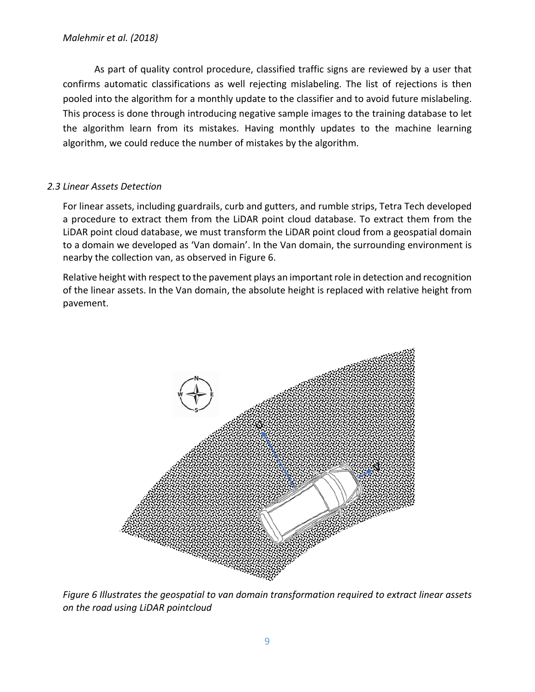As part of quality control procedure, classified traffic signs are reviewed by a user that confirms automatic classifications as well rejecting mislabeling. The list of rejections is then pooled into the algorithm for a monthly update to the classifier and to avoid future mislabeling. This process is done through introducing negative sample images to the training database to let the algorithm learn from its mistakes. Having monthly updates to the machine learning algorithm, we could reduce the number of mistakes by the algorithm.

# *2.3 Linear Assets Detection*

For linear assets, including guardrails, curb and gutters, and rumble strips, Tetra Tech developed a procedure to extract them from the LiDAR point cloud database. To extract them from the LiDAR point cloud database, we must transform the LiDAR point cloud from a geospatial domain to a domain we developed as 'Van domain'. In the Van domain, the surrounding environment is nearby the collection van, as observed in Figure 6.

Relative height with respect to the pavement plays an important role in detection and recognition of the linear assets. In the Van domain, the absolute height is replaced with relative height from pavement.



*Figure 6 Illustrates the geospatial to van domain transformation required to extract linear assets on the road using LiDAR pointcloud*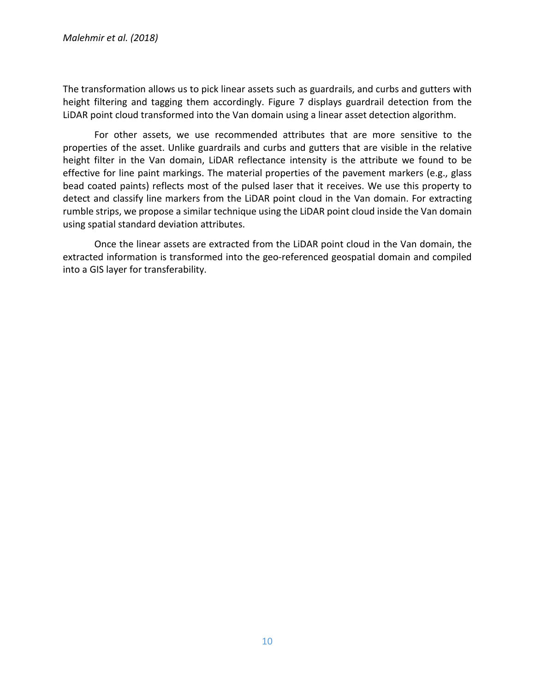The transformation allows us to pick linear assets such as guardrails, and curbs and gutters with height filtering and tagging them accordingly. Figure 7 displays guardrail detection from the LiDAR point cloud transformed into the Van domain using a linear asset detection algorithm.

For other assets, we use recommended attributes that are more sensitive to the properties of the asset. Unlike guardrails and curbs and gutters that are visible in the relative height filter in the Van domain, LiDAR reflectance intensity is the attribute we found to be effective for line paint markings. The material properties of the pavement markers (e.g., glass bead coated paints) reflects most of the pulsed laser that it receives. We use this property to detect and classify line markers from the LiDAR point cloud in the Van domain. For extracting rumble strips, we propose a similar technique using the LiDAR point cloud inside the Van domain using spatial standard deviation attributes.

Once the linear assets are extracted from the LiDAR point cloud in the Van domain, the extracted information is transformed into the geo-referenced geospatial domain and compiled into a GIS layer for transferability.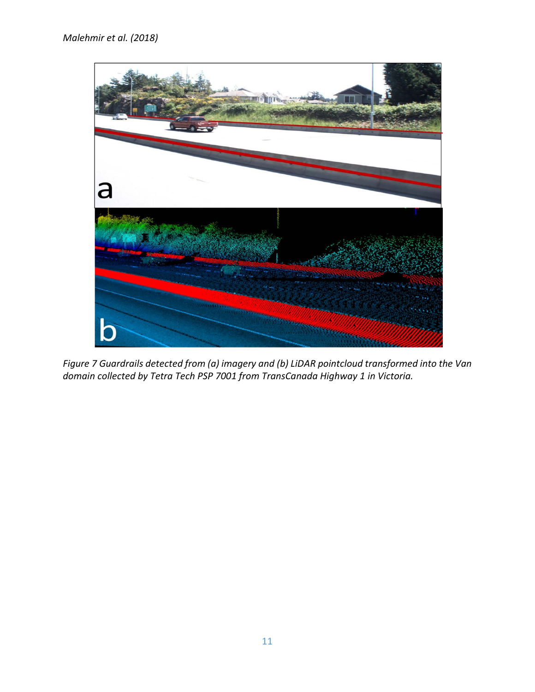

*Figure 7 Guardrails detected from (a) imagery and (b) LiDAR pointcloud transformed into the Van domain collected by Tetra Tech PSP 7001 from TransCanada Highway 1 in Victoria.*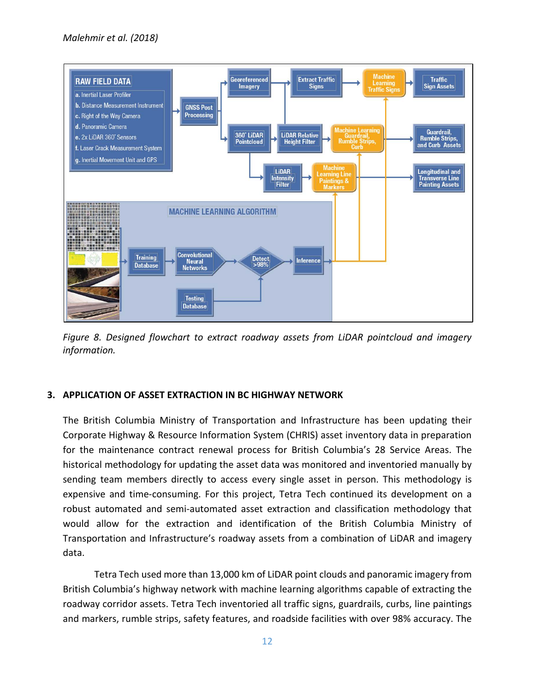

*Figure 8. Designed flowchart to extract roadway assets from LiDAR pointcloud and imagery information.* 

# **3. APPLICATION OF ASSET EXTRACTION IN BC HIGHWAY NETWORK**

The British Columbia Ministry of Transportation and Infrastructure has been updating their Corporate Highway & Resource Information System (CHRIS) asset inventory data in preparation for the maintenance contract renewal process for British Columbia's 28 Service Areas. The historical methodology for updating the asset data was monitored and inventoried manually by sending team members directly to access every single asset in person. This methodology is expensive and time-consuming. For this project, Tetra Tech continued its development on a robust automated and semi-automated asset extraction and classification methodology that would allow for the extraction and identification of the British Columbia Ministry of Transportation and Infrastructure's roadway assets from a combination of LiDAR and imagery data.

Tetra Tech used more than 13,000 km of LiDAR point clouds and panoramic imagery from British Columbia's highway network with machine learning algorithms capable of extracting the roadway corridor assets. Tetra Tech inventoried all traffic signs, guardrails, curbs, line paintings and markers, rumble strips, safety features, and roadside facilities with over 98% accuracy. The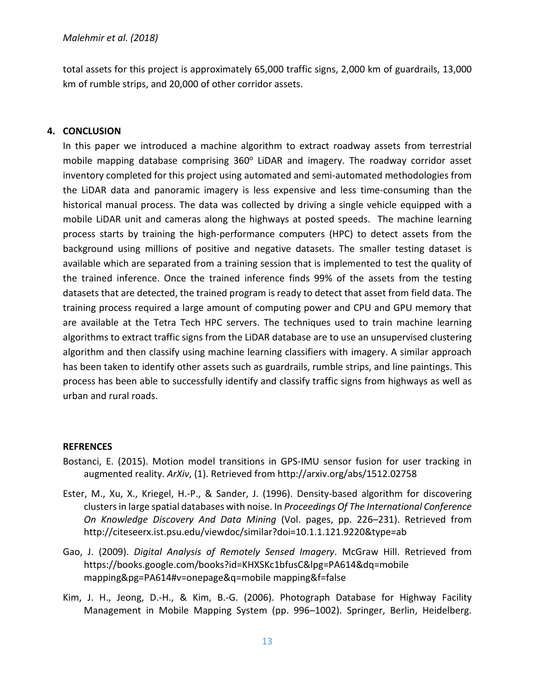total assets for this project is approximately 65,000 traffic signs, 2,000 km of guardrails, 13,000 km of rumble strips, and 20,000 of other corridor assets.

#### **4. CONCLUSION**

In this paper we introduced a machine algorithm to extract roadway assets from terrestrial mobile mapping database comprising 360° LiDAR and imagery. The roadway corridor asset inventory completed for this project using automated and semi-automated methodologies from the LiDAR data and panoramic imagery is less expensive and less time-consuming than the historical manual process. The data was collected by driving a single vehicle equipped with a mobile LiDAR unit and cameras along the highways at posted speeds. The machine learning process starts by training the high-performance computers (HPC) to detect assets from the background using millions of positive and negative datasets. The smaller testing dataset is available which are separated from a training session that is implemented to test the quality of the trained inference. Once the trained inference finds 99% of the assets from the testing datasets that are detected, the trained program is ready to detect that asset from field data. The training process required a large amount of computing power and CPU and GPU memory that are available at the Tetra Tech HPC servers. The techniques used to train machine learning algorithms to extract traffic signs from the LiDAR database are to use an unsupervised clustering algorithm and then classify using machine learning classifiers with imagery. A similar approach has been taken to identify other assets such as guardrails, rumble strips, and line paintings. This process has been able to successfully identify and classify traffic signs from highways as well as urban and rural roads.

#### **REFRENCES**

- Bostanci, E. (2015). Motion model transitions in GPS-IMU sensor fusion for user tracking in augmented reality. *ArXiv*, (1). Retrieved from http://arxiv.org/abs/1512.02758
- Ester, M., Xu, X., Kriegel, H.-P., & Sander, J. (1996). Density-based algorithm for discovering clusters in large spatial databases with noise. In *Proceedings Of The International Conference On Knowledge Discovery And Data Mining* (Vol. pages, pp. 226–231). Retrieved from http://citeseerx.ist.psu.edu/viewdoc/similar?doi=10.1.1.121.9220&type=ab
- Gao, J. (2009). *Digital Analysis of Remotely Sensed Imagery*. McGraw Hill. Retrieved from https://books.google.com/books?id=KHXSKc1bfusC&lpg=PA614&dq=mobile mapping&pg=PA614#v=onepage&q=mobile mapping&f=false
- Kim, J. H., Jeong, D.-H., & Kim, B.-G. (2006). Photograph Database for Highway Facility Management in Mobile Mapping System (pp. 996–1002). Springer, Berlin, Heidelberg.